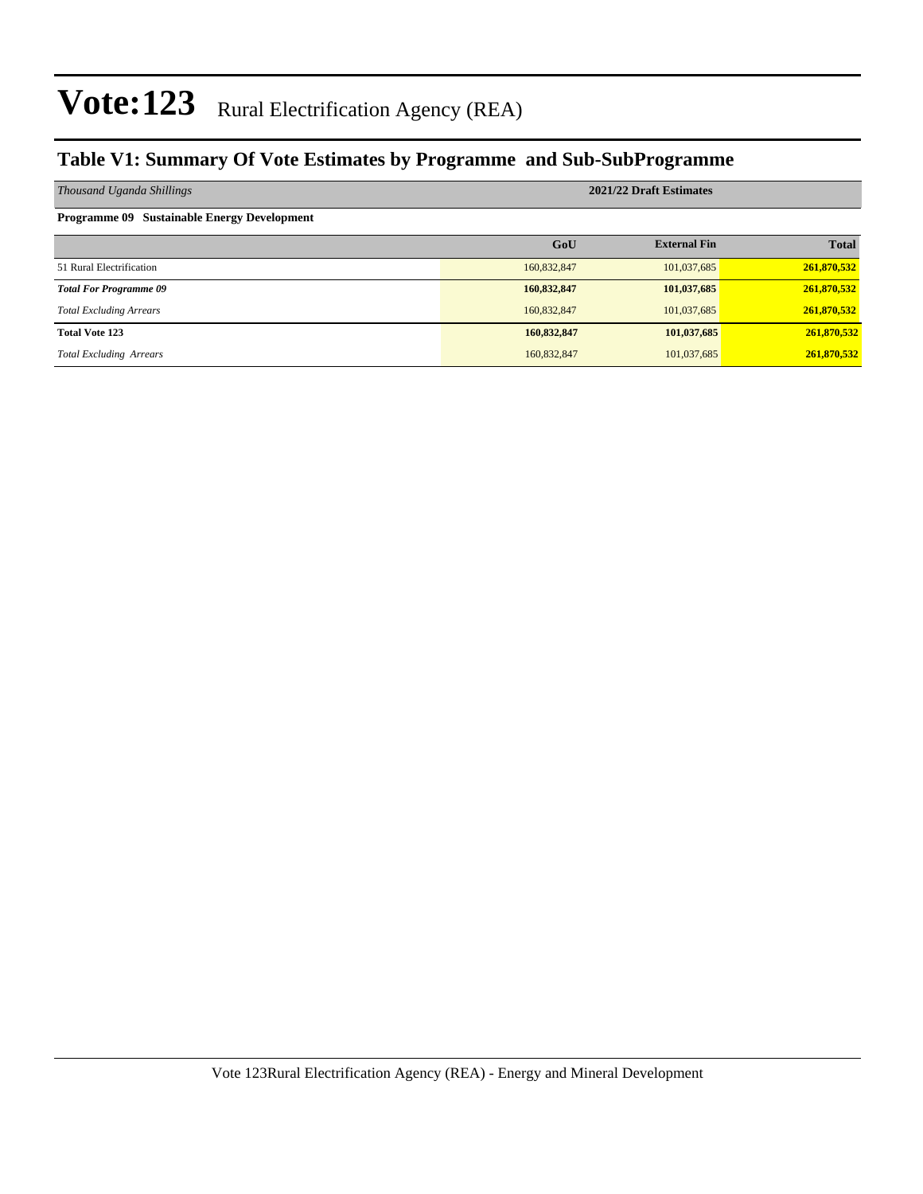### **Table V1: Summary Of Vote Estimates by Programme and Sub-SubProgramme**

| Thousand Uganda Shillings                          | 2021/22 Draft Estimates |                     |              |  |  |  |
|----------------------------------------------------|-------------------------|---------------------|--------------|--|--|--|
| <b>Programme 09 Sustainable Energy Development</b> |                         |                     |              |  |  |  |
|                                                    | GoU                     | <b>External Fin</b> | <b>Total</b> |  |  |  |
| 51 Rural Electrification                           | 160,832,847             | 101,037,685         | 261,870,532  |  |  |  |
| <b>Total For Programme 09</b>                      | 160,832,847             | 101,037,685         | 261,870,532  |  |  |  |
| <b>Total Excluding Arrears</b>                     | 160,832,847             | 101,037,685         | 261,870,532  |  |  |  |
| <b>Total Vote 123</b>                              | 160,832,847             | 101,037,685         | 261,870,532  |  |  |  |
| <b>Total Excluding Arrears</b>                     | 160,832,847             | 101,037,685         | 261,870,532  |  |  |  |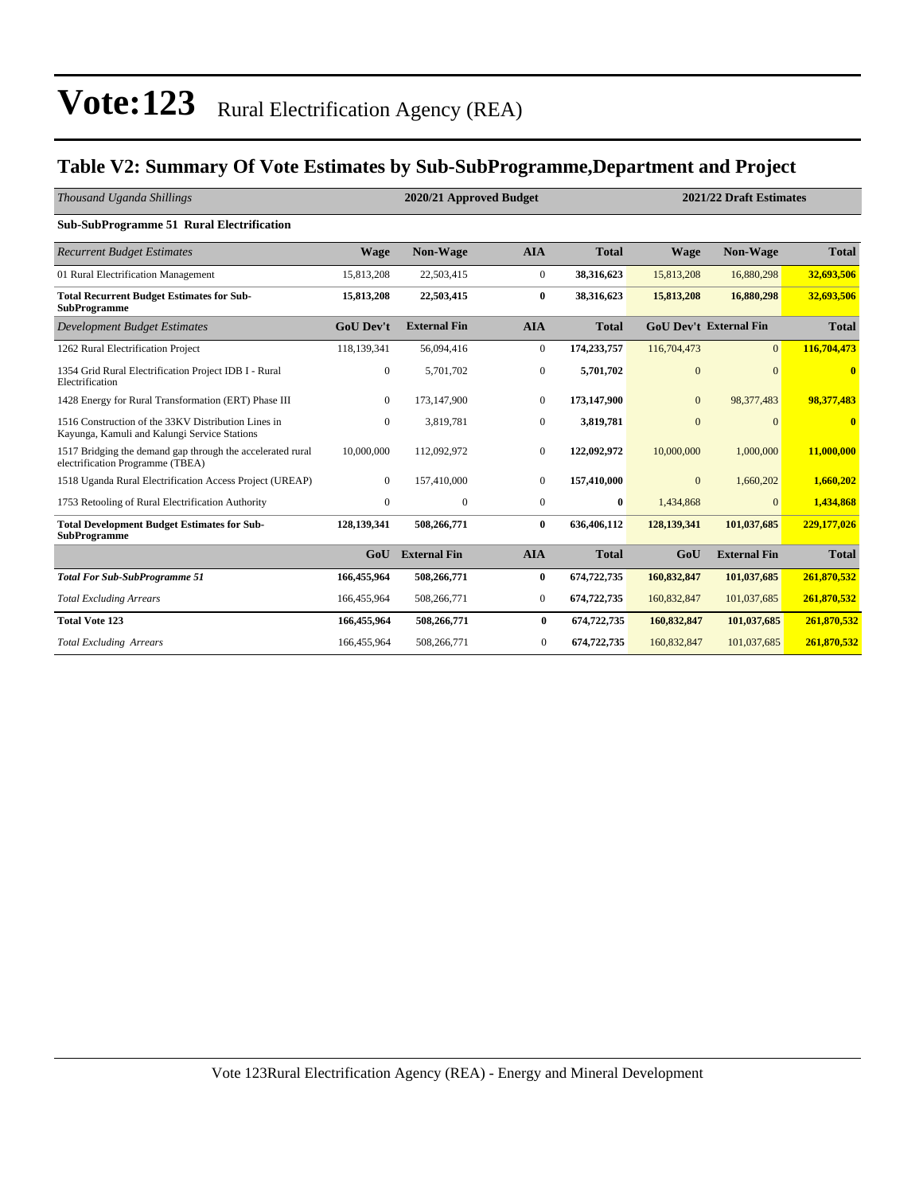### **Table V2: Summary Of Vote Estimates by Sub-SubProgramme,Department and Project**

| Thousand Uganda Shillings                                                                           |                  | 2020/21 Approved Budget |                  |              | 2021/22 Draft Estimates |                               |              |
|-----------------------------------------------------------------------------------------------------|------------------|-------------------------|------------------|--------------|-------------------------|-------------------------------|--------------|
| Sub-SubProgramme 51 Rural Electrification                                                           |                  |                         |                  |              |                         |                               |              |
| <b>Recurrent Budget Estimates</b>                                                                   | <b>Wage</b>      | <b>Non-Wage</b>         | <b>AIA</b>       | <b>Total</b> | <b>Wage</b>             | <b>Non-Wage</b>               | <b>Total</b> |
| 01 Rural Electrification Management                                                                 | 15,813,208       | 22,503,415              | $\overline{0}$   | 38,316,623   | 15,813,208              | 16,880,298                    | 32,693,506   |
| <b>Total Recurrent Budget Estimates for Sub-</b><br><b>SubProgramme</b>                             | 15,813,208       | 22,503,415              | $\bf{0}$         | 38,316,623   | 15,813,208              | 16,880,298                    | 32,693,506   |
| <b>Development Budget Estimates</b>                                                                 | <b>GoU Dev't</b> | <b>External Fin</b>     | <b>AIA</b>       | <b>Total</b> |                         | <b>GoU Dev't External Fin</b> | <b>Total</b> |
| 1262 Rural Electrification Project                                                                  | 118,139,341      | 56,094,416              | $\overline{0}$   | 174,233,757  | 116,704,473             | $\overline{0}$                | 116,704,473  |
| 1354 Grid Rural Electrification Project IDB I - Rural<br>Electrification                            | 0                | 5,701,702               | $\boldsymbol{0}$ | 5,701,702    | $\overline{0}$          | $\Omega$                      | $\bf{0}$     |
| 1428 Energy for Rural Transformation (ERT) Phase III                                                | $\overline{0}$   | 173,147,900             | $\mathbf{0}$     | 173,147,900  | $\mathbf{0}$            | 98,377,483                    | 98,377,483   |
| 1516 Construction of the 33KV Distribution Lines in<br>Kayunga, Kamuli and Kalungi Service Stations | $\overline{0}$   | 3,819,781               | $\mathbf{0}$     | 3,819,781    | $\overline{0}$          | $\Omega$                      | $\bf{0}$     |
| 1517 Bridging the demand gap through the accelerated rural<br>electrification Programme (TBEA)      | 10,000,000       | 112,092,972             | $\mathbf{0}$     | 122,092,972  | 10,000,000              | 1,000,000                     | 11,000,000   |
| 1518 Uganda Rural Electrification Access Project (UREAP)                                            | $\overline{0}$   | 157,410,000             | $\Omega$         | 157,410,000  | $\mathbf{0}$            | 1,660,202                     | 1,660,202    |
| 1753 Retooling of Rural Electrification Authority                                                   | $\overline{0}$   | $\mathbf{0}$            | $\overline{0}$   | $\bf{0}$     | 1,434,868               | $\Omega$                      | 1,434,868    |
| <b>Total Development Budget Estimates for Sub-</b><br><b>SubProgramme</b>                           | 128,139,341      | 508,266,771             | $\bf{0}$         | 636,406,112  | 128,139,341             | 101,037,685                   | 229,177,026  |
|                                                                                                     | GoU              | <b>External Fin</b>     | <b>AIA</b>       | <b>Total</b> | GoU                     | <b>External Fin</b>           | <b>Total</b> |
| <b>Total For Sub-SubProgramme 51</b>                                                                | 166,455,964      | 508,266,771             | $\bf{0}$         | 674,722,735  | 160,832,847             | 101,037,685                   | 261,870,532  |
| <b>Total Excluding Arrears</b>                                                                      | 166,455,964      | 508,266,771             | $\overline{0}$   | 674,722,735  | 160,832,847             | 101,037,685                   | 261,870,532  |
| <b>Total Vote 123</b>                                                                               | 166,455,964      | 508,266,771             | $\bf{0}$         | 674,722,735  | 160,832,847             | 101,037,685                   | 261,870,532  |
| <b>Total Excluding Arrears</b>                                                                      | 166,455,964      | 508,266,771             | $\mathbf{0}$     | 674,722,735  | 160,832,847             | 101,037,685                   | 261,870,532  |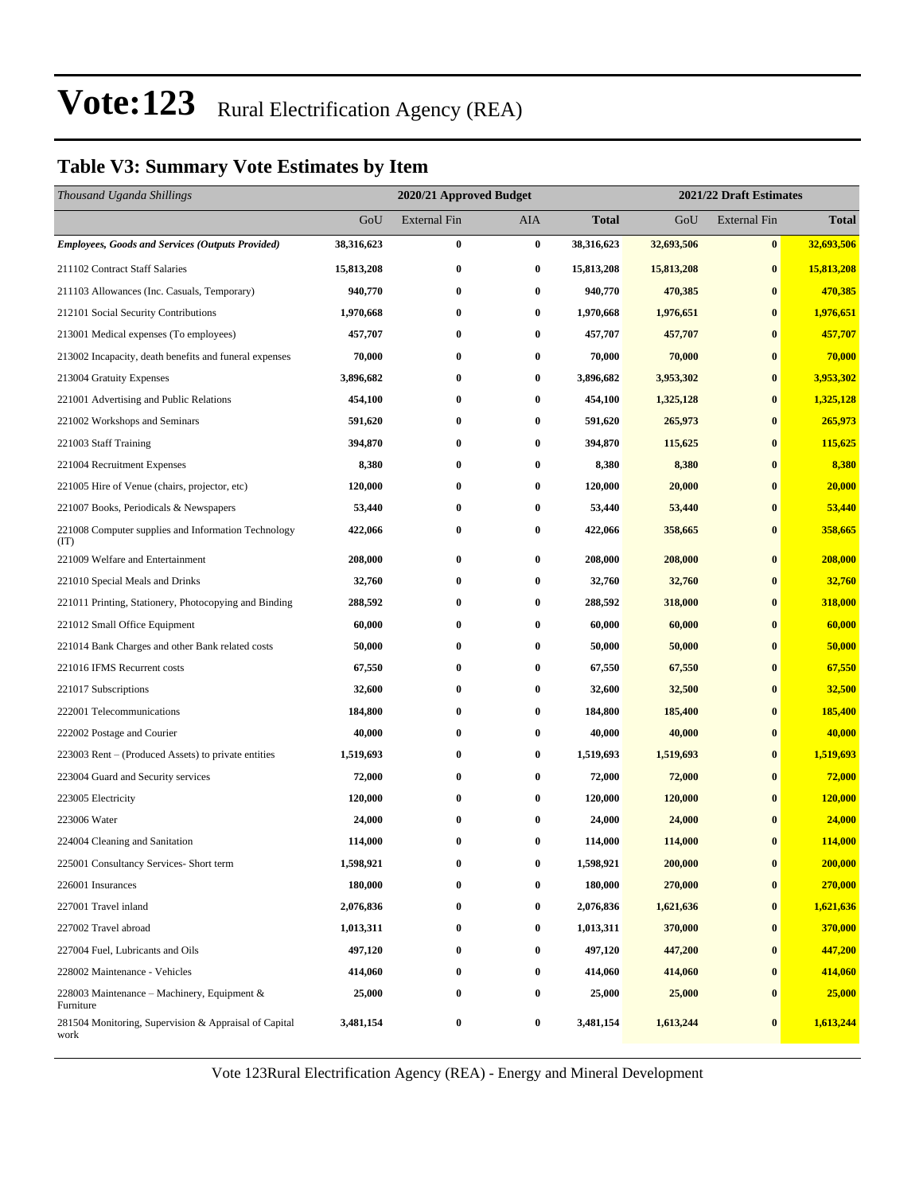### **Table V3: Summary Vote Estimates by Item**

| Thousand Uganda Shillings                                     |            | 2020/21 Approved Budget |                  |              | 2021/22 Draft Estimates |                     |              |  |
|---------------------------------------------------------------|------------|-------------------------|------------------|--------------|-------------------------|---------------------|--------------|--|
|                                                               | GoU        | <b>External Fin</b>     | AIA              | <b>Total</b> | GoU                     | <b>External Fin</b> | <b>Total</b> |  |
| <b>Employees, Goods and Services (Outputs Provided)</b>       | 38,316,623 | $\bf{0}$                | $\bf{0}$         | 38,316,623   | 32,693,506              | $\bf{0}$            | 32,693,506   |  |
| 211102 Contract Staff Salaries                                | 15,813,208 | $\bf{0}$                | $\boldsymbol{0}$ | 15,813,208   | 15,813,208              | $\bf{0}$            | 15,813,208   |  |
| 211103 Allowances (Inc. Casuals, Temporary)                   | 940,770    | $\bf{0}$                | $\bf{0}$         | 940,770      | 470,385                 | $\bf{0}$            | 470,385      |  |
| 212101 Social Security Contributions                          | 1,970,668  | $\bf{0}$                | $\bf{0}$         | 1,970,668    | 1,976,651               | $\bf{0}$            | 1,976,651    |  |
| 213001 Medical expenses (To employees)                        | 457,707    | $\bf{0}$                | $\bf{0}$         | 457,707      | 457,707                 | $\bf{0}$            | 457,707      |  |
| 213002 Incapacity, death benefits and funeral expenses        | 70,000     | $\bf{0}$                | $\bf{0}$         | 70,000       | 70,000                  | $\bf{0}$            | 70,000       |  |
| 213004 Gratuity Expenses                                      | 3,896,682  | $\bf{0}$                | $\bf{0}$         | 3,896,682    | 3,953,302               | $\bf{0}$            | 3,953,302    |  |
| 221001 Advertising and Public Relations                       | 454,100    | $\bf{0}$                | $\bf{0}$         | 454,100      | 1,325,128               | $\bf{0}$            | 1,325,128    |  |
| 221002 Workshops and Seminars                                 | 591,620    | $\bf{0}$                | $\bf{0}$         | 591,620      | 265,973                 | $\bf{0}$            | 265,973      |  |
| 221003 Staff Training                                         | 394,870    | $\bf{0}$                | $\bf{0}$         | 394,870      | 115,625                 | $\bf{0}$            | 115,625      |  |
| 221004 Recruitment Expenses                                   | 8,380      | $\bf{0}$                | $\bf{0}$         | 8,380        | 8,380                   | $\bf{0}$            | 8,380        |  |
| 221005 Hire of Venue (chairs, projector, etc)                 | 120,000    | $\bf{0}$                | $\bf{0}$         | 120,000      | 20,000                  | $\bf{0}$            | 20,000       |  |
| 221007 Books, Periodicals & Newspapers                        | 53,440     | $\bf{0}$                | $\bf{0}$         | 53,440       | 53,440                  | $\bf{0}$            | 53,440       |  |
| 221008 Computer supplies and Information Technology<br>(TT)   | 422,066    | $\bf{0}$                | 0                | 422,066      | 358,665                 | $\bf{0}$            | 358,665      |  |
| 221009 Welfare and Entertainment                              | 208,000    | $\bf{0}$                | 0                | 208,000      | 208,000                 | $\bf{0}$            | 208,000      |  |
| 221010 Special Meals and Drinks                               | 32,760     | $\bf{0}$                | $\bf{0}$         | 32,760       | 32,760                  | $\bf{0}$            | 32,760       |  |
| 221011 Printing, Stationery, Photocopying and Binding         | 288,592    | $\bf{0}$                | 0                | 288,592      | 318,000                 | $\bf{0}$            | 318,000      |  |
| 221012 Small Office Equipment                                 | 60,000     | $\bf{0}$                | $\bf{0}$         | 60,000       | 60,000                  | $\bf{0}$            | 60,000       |  |
| 221014 Bank Charges and other Bank related costs              | 50,000     | $\bf{0}$                | $\bf{0}$         | 50,000       | 50,000                  | $\bf{0}$            | 50,000       |  |
| 221016 IFMS Recurrent costs                                   | 67,550     | $\bf{0}$                | 0                | 67,550       | 67,550                  | $\bf{0}$            | 67,550       |  |
| 221017 Subscriptions                                          | 32,600     | $\bf{0}$                | $\bf{0}$         | 32,600       | 32,500                  | $\bf{0}$            | 32,500       |  |
| 222001 Telecommunications                                     | 184,800    | $\bf{0}$                | $\bf{0}$         | 184,800      | 185,400                 | $\bf{0}$            | 185,400      |  |
| 222002 Postage and Courier                                    | 40,000     | $\bf{0}$                | $\bf{0}$         | 40,000       | 40,000                  | $\bf{0}$            | 40,000       |  |
| 223003 Rent – (Produced Assets) to private entities           | 1,519,693  | $\bf{0}$                | $\bf{0}$         | 1,519,693    | 1,519,693               | $\bf{0}$            | 1,519,693    |  |
| 223004 Guard and Security services                            | 72,000     | $\bf{0}$                | $\bf{0}$         | 72,000       | 72,000                  | $\bf{0}$            | 72,000       |  |
| 223005 Electricity                                            | 120,000    | $\bf{0}$                | $\bf{0}$         | 120,000      | 120,000                 | $\bf{0}$            | 120,000      |  |
| 223006 Water                                                  | 24,000     | $\bf{0}$                | $\bf{0}$         | 24,000       | 24,000                  | $\bf{0}$            | 24,000       |  |
| 224004 Cleaning and Sanitation                                | 114,000    | $\bf{0}$                | $\bf{0}$         | 114,000      | 114,000                 | $\bf{0}$            | 114,000      |  |
| 225001 Consultancy Services- Short term                       | 1,598,921  | $\bf{0}$                | $\boldsymbol{0}$ | 1,598,921    | 200,000                 | $\boldsymbol{0}$    | 200,000      |  |
| 226001 Insurances                                             | 180,000    | $\bf{0}$                | $\bf{0}$         | 180,000      | 270,000                 | $\bf{0}$            | 270,000      |  |
| 227001 Travel inland                                          | 2,076,836  | $\bf{0}$                | $\bf{0}$         | 2,076,836    | 1,621,636               | $\bf{0}$            | 1,621,636    |  |
| 227002 Travel abroad                                          | 1,013,311  | $\boldsymbol{0}$        | 0                | 1,013,311    | 370,000                 | $\bf{0}$            | 370,000      |  |
| 227004 Fuel, Lubricants and Oils                              | 497,120    | $\boldsymbol{0}$        | 0                | 497,120      | 447,200                 | $\bf{0}$            | 447,200      |  |
| 228002 Maintenance - Vehicles                                 | 414,060    | $\bf{0}$                | $\bf{0}$         | 414,060      | 414,060                 | $\bf{0}$            | 414,060      |  |
| 228003 Maintenance – Machinery, Equipment $\&$<br>Furniture   | 25,000     | $\bf{0}$                | 0                | 25,000       | 25,000                  | $\bf{0}$            | 25,000       |  |
| 281504 Monitoring, Supervision & Appraisal of Capital<br>work | 3,481,154  | $\bf{0}$                | 0                | 3,481,154    | 1,613,244               | $\bf{0}$            | 1,613,244    |  |

Vote 123Rural Electrification Agency (REA) - Energy and Mineral Development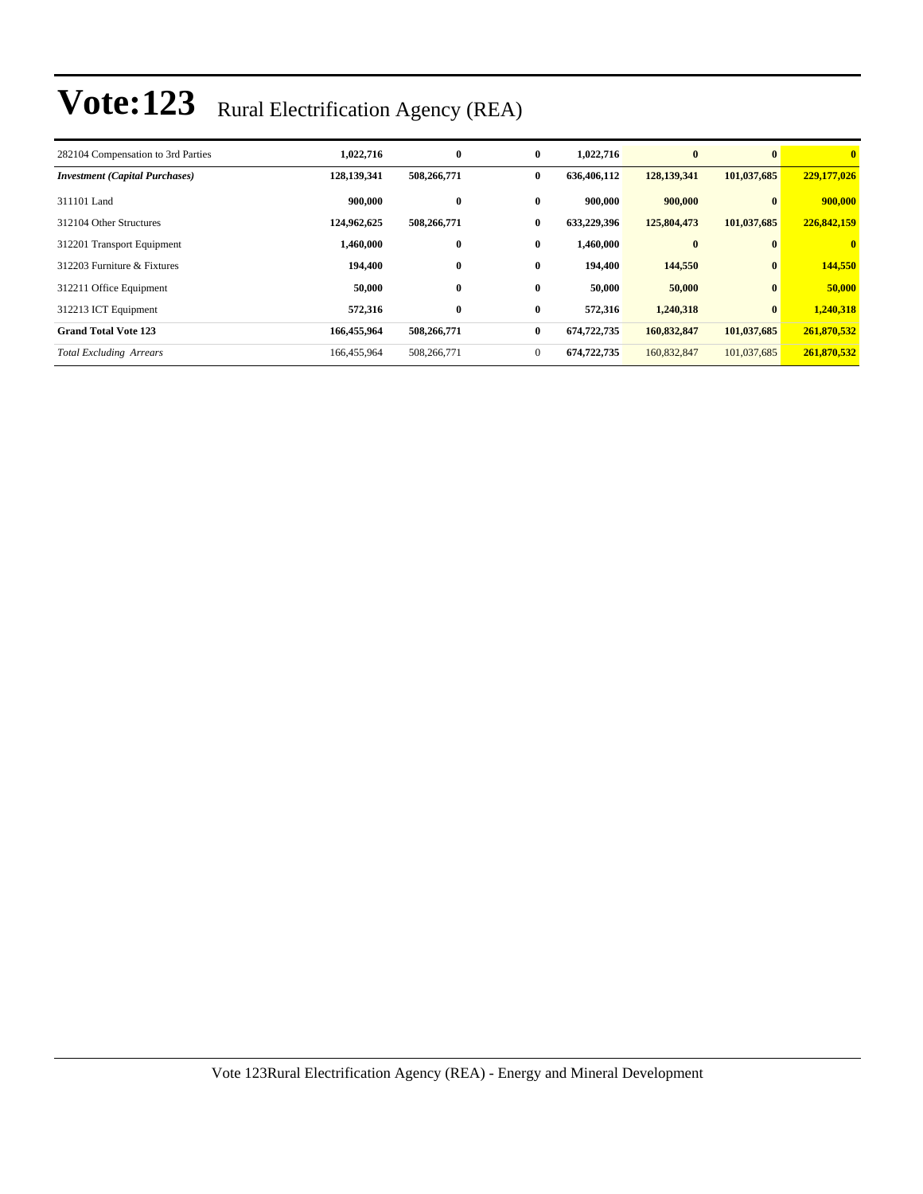| 282104 Compensation to 3rd Parties    | 1,022,716   | $\bf{0}$    | $\bf{0}$     | 1,022,716   | $\bf{0}$    | $\mathbf{0}$ | $\bf{0}$     |
|---------------------------------------|-------------|-------------|--------------|-------------|-------------|--------------|--------------|
| <b>Investment</b> (Capital Purchases) | 128,139,341 | 508,266,771 | $\bf{0}$     | 636,406,112 | 128,139,341 | 101,037,685  | 229,177,026  |
| 311101 Land                           | 900,000     | $\bf{0}$    | $\bf{0}$     | 900,000     | 900,000     | $\mathbf{0}$ | 900,000      |
| 312104 Other Structures               | 124,962,625 | 508,266,771 | $\bf{0}$     | 633,229,396 | 125,804,473 | 101,037,685  | 226,842,159  |
| 312201 Transport Equipment            | 1,460,000   | $\bf{0}$    | $\bf{0}$     | 1,460,000   | $\bf{0}$    | $\mathbf{0}$ | $\mathbf{0}$ |
| 312203 Furniture & Fixtures           | 194,400     | $\bf{0}$    | $\bf{0}$     | 194,400     | 144,550     | $\mathbf{0}$ | 144,550      |
| 312211 Office Equipment               | 50,000      | $\bf{0}$    | $\bf{0}$     | 50,000      | 50,000      | $\mathbf{0}$ | 50,000       |
| 312213 ICT Equipment                  | 572,316     | $\bf{0}$    | $\bf{0}$     | 572,316     | 1,240,318   | $\bf{0}$     | 1,240,318    |
| <b>Grand Total Vote 123</b>           | 166,455,964 | 508,266,771 | $\bf{0}$     | 674,722,735 | 160,832,847 | 101,037,685  | 261,870,532  |
| <b>Total Excluding Arrears</b>        | 166,455,964 | 508,266,771 | $\mathbf{0}$ | 674,722,735 | 160,832,847 | 101,037,685  | 261,870,532  |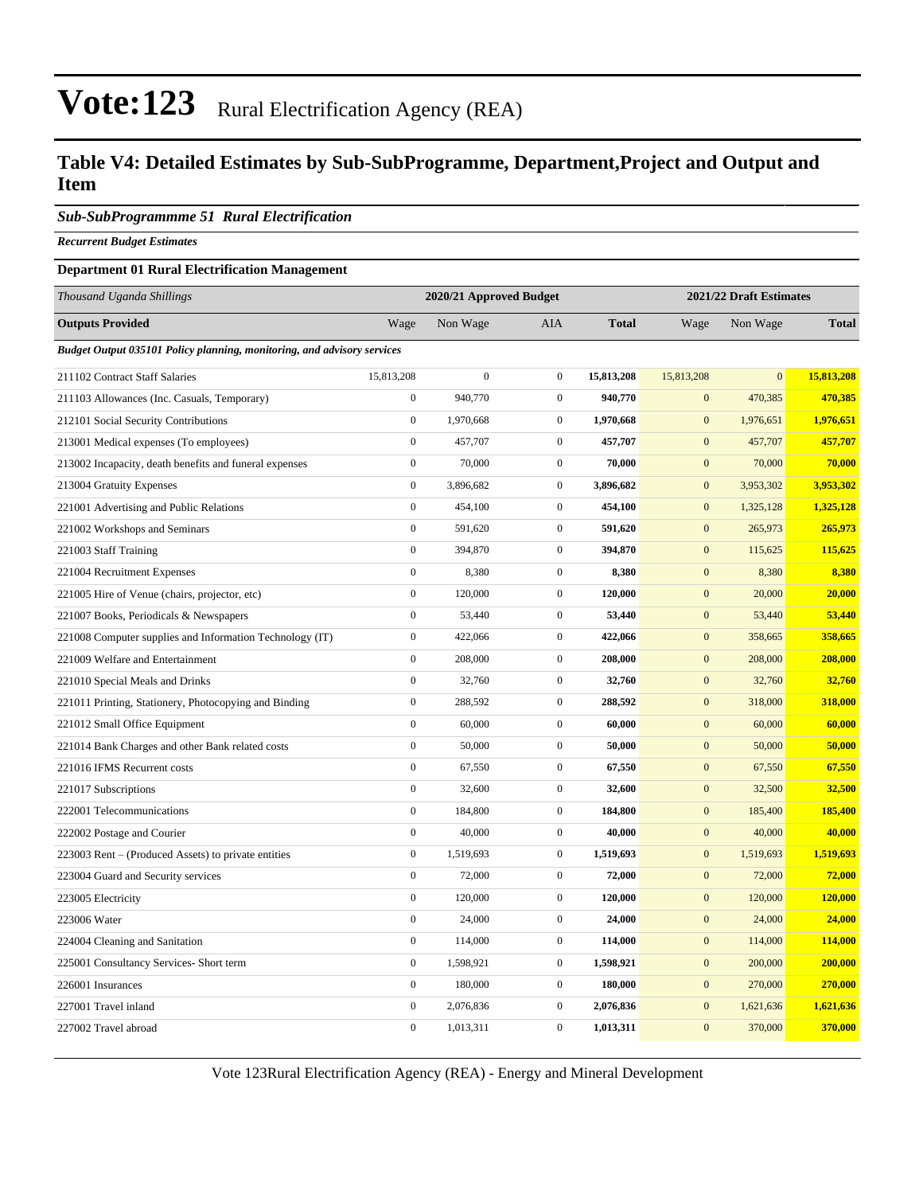### **Table V4: Detailed Estimates by Sub-SubProgramme, Department,Project and Output and Item**

#### *Sub-SubProgrammme 51 Rural Electrification*

*Recurrent Budget Estimates*

#### **Department 01 Rural Electrification Management**

| Thousand Uganda Shillings                                                      | 2020/21 Approved Budget |                  |                  |              | 2021/22 Draft Estimates |              |              |  |
|--------------------------------------------------------------------------------|-------------------------|------------------|------------------|--------------|-------------------------|--------------|--------------|--|
| <b>Outputs Provided</b>                                                        | Wage                    | Non Wage         | <b>AIA</b>       | <b>Total</b> | Wage                    | Non Wage     | <b>Total</b> |  |
| <b>Budget Output 035101 Policy planning, monitoring, and advisory services</b> |                         |                  |                  |              |                         |              |              |  |
| 211102 Contract Staff Salaries                                                 | 15,813,208              | $\boldsymbol{0}$ | $\boldsymbol{0}$ | 15,813,208   | 15,813,208              | $\mathbf{0}$ | 15,813,208   |  |
| 211103 Allowances (Inc. Casuals, Temporary)                                    | $\boldsymbol{0}$        | 940,770          | $\boldsymbol{0}$ | 940,770      | $\mathbf{0}$            | 470,385      | 470,385      |  |
| 212101 Social Security Contributions                                           | $\boldsymbol{0}$        | 1,970,668        | $\boldsymbol{0}$ | 1,970,668    | $\mathbf{0}$            | 1,976,651    | 1,976,651    |  |
| 213001 Medical expenses (To employees)                                         | $\overline{0}$          | 457,707          | $\mathbf{0}$     | 457,707      | $\mathbf{0}$            | 457,707      | 457,707      |  |
| 213002 Incapacity, death benefits and funeral expenses                         | $\boldsymbol{0}$        | 70,000           | $\boldsymbol{0}$ | 70,000       | $\boldsymbol{0}$        | 70,000       | 70,000       |  |
| 213004 Gratuity Expenses                                                       | $\boldsymbol{0}$        | 3,896,682        | $\boldsymbol{0}$ | 3,896,682    | $\mathbf{0}$            | 3,953,302    | 3,953,302    |  |
| 221001 Advertising and Public Relations                                        | $\boldsymbol{0}$        | 454,100          | $\boldsymbol{0}$ | 454,100      | $\mathbf{0}$            | 1,325,128    | 1,325,128    |  |
| 221002 Workshops and Seminars                                                  | $\mathbf{0}$            | 591,620          | $\mathbf{0}$     | 591,620      | $\mathbf{0}$            | 265,973      | 265,973      |  |
| 221003 Staff Training                                                          | $\boldsymbol{0}$        | 394,870          | $\boldsymbol{0}$ | 394,870      | $\mathbf{0}$            | 115,625      | 115,625      |  |
| 221004 Recruitment Expenses                                                    | $\mathbf{0}$            | 8,380            | $\boldsymbol{0}$ | 8,380        | $\mathbf{0}$            | 8,380        | 8,380        |  |
| 221005 Hire of Venue (chairs, projector, etc)                                  | $\boldsymbol{0}$        | 120,000          | $\boldsymbol{0}$ | 120,000      | $\boldsymbol{0}$        | 20,000       | 20,000       |  |
| 221007 Books, Periodicals & Newspapers                                         | $\boldsymbol{0}$        | 53,440           | $\boldsymbol{0}$ | 53,440       | $\mathbf{0}$            | 53,440       | 53,440       |  |
| 221008 Computer supplies and Information Technology (IT)                       | $\boldsymbol{0}$        | 422,066          | $\boldsymbol{0}$ | 422,066      | $\boldsymbol{0}$        | 358,665      | 358,665      |  |
| 221009 Welfare and Entertainment                                               | $\overline{0}$          | 208,000          | $\boldsymbol{0}$ | 208,000      | $\mathbf{0}$            | 208,000      | 208,000      |  |
| 221010 Special Meals and Drinks                                                | $\boldsymbol{0}$        | 32,760           | $\boldsymbol{0}$ | 32,760       | $\boldsymbol{0}$        | 32,760       | 32,760       |  |
| 221011 Printing, Stationery, Photocopying and Binding                          | $\boldsymbol{0}$        | 288,592          | $\boldsymbol{0}$ | 288,592      | $\mathbf{0}$            | 318,000      | 318,000      |  |
| 221012 Small Office Equipment                                                  | $\mathbf{0}$            | 60,000           | $\boldsymbol{0}$ | 60,000       | $\mathbf{0}$            | 60,000       | 60,000       |  |
| 221014 Bank Charges and other Bank related costs                               | $\overline{0}$          | 50,000           | $\boldsymbol{0}$ | 50,000       | $\mathbf{0}$            | 50,000       | 50,000       |  |
| 221016 IFMS Recurrent costs                                                    | $\boldsymbol{0}$        | 67,550           | $\boldsymbol{0}$ | 67,550       | $\mathbf{0}$            | 67,550       | 67,550       |  |
| 221017 Subscriptions                                                           | $\boldsymbol{0}$        | 32,600           | $\boldsymbol{0}$ | 32,600       | $\boldsymbol{0}$        | 32,500       | 32,500       |  |
| 222001 Telecommunications                                                      | $\boldsymbol{0}$        | 184,800          | $\boldsymbol{0}$ | 184,800      | $\mathbf{0}$            | 185,400      | 185,400      |  |
| 222002 Postage and Courier                                                     | $\boldsymbol{0}$        | 40,000           | $\boldsymbol{0}$ | 40,000       | $\boldsymbol{0}$        | 40,000       | 40,000       |  |
| 223003 Rent – (Produced Assets) to private entities                            | $\boldsymbol{0}$        | 1,519,693        | $\boldsymbol{0}$ | 1,519,693    | $\mathbf{0}$            | 1,519,693    | 1,519,693    |  |
| 223004 Guard and Security services                                             | $\boldsymbol{0}$        | 72,000           | $\mathbf{0}$     | 72,000       | $\mathbf{0}$            | 72,000       | 72,000       |  |
| 223005 Electricity                                                             | $\overline{0}$          | 120,000          | $\boldsymbol{0}$ | 120,000      | $\boldsymbol{0}$        | 120,000      | 120,000      |  |
| 223006 Water                                                                   | $\boldsymbol{0}$        | 24,000           | $\boldsymbol{0}$ | 24,000       | $\boldsymbol{0}$        | 24,000       | 24,000       |  |
| 224004 Cleaning and Sanitation                                                 | $\boldsymbol{0}$        | 114,000          | $\boldsymbol{0}$ | 114,000      | $\mathbf{0}$            | 114,000      | 114,000      |  |
| 225001 Consultancy Services- Short term                                        | $\boldsymbol{0}$        | 1,598,921        | $\boldsymbol{0}$ | 1,598,921    | $\mathbf{0}$            | 200,000      | 200,000      |  |
| 226001 Insurances                                                              | $\boldsymbol{0}$        | 180,000          | $\boldsymbol{0}$ | 180,000      | $\mathbf{0}$            | 270,000      | 270,000      |  |
| 227001 Travel inland                                                           | $\boldsymbol{0}$        | 2,076,836        | $\boldsymbol{0}$ | 2,076,836    | $\mathbf{0}$            | 1,621,636    | 1,621,636    |  |
| 227002 Travel abroad                                                           | $\overline{0}$          | 1,013,311        | $\mathbf{0}$     | 1,013,311    | $\overline{0}$          | 370,000      | 370,000      |  |

Vote 123Rural Electrification Agency (REA) - Energy and Mineral Development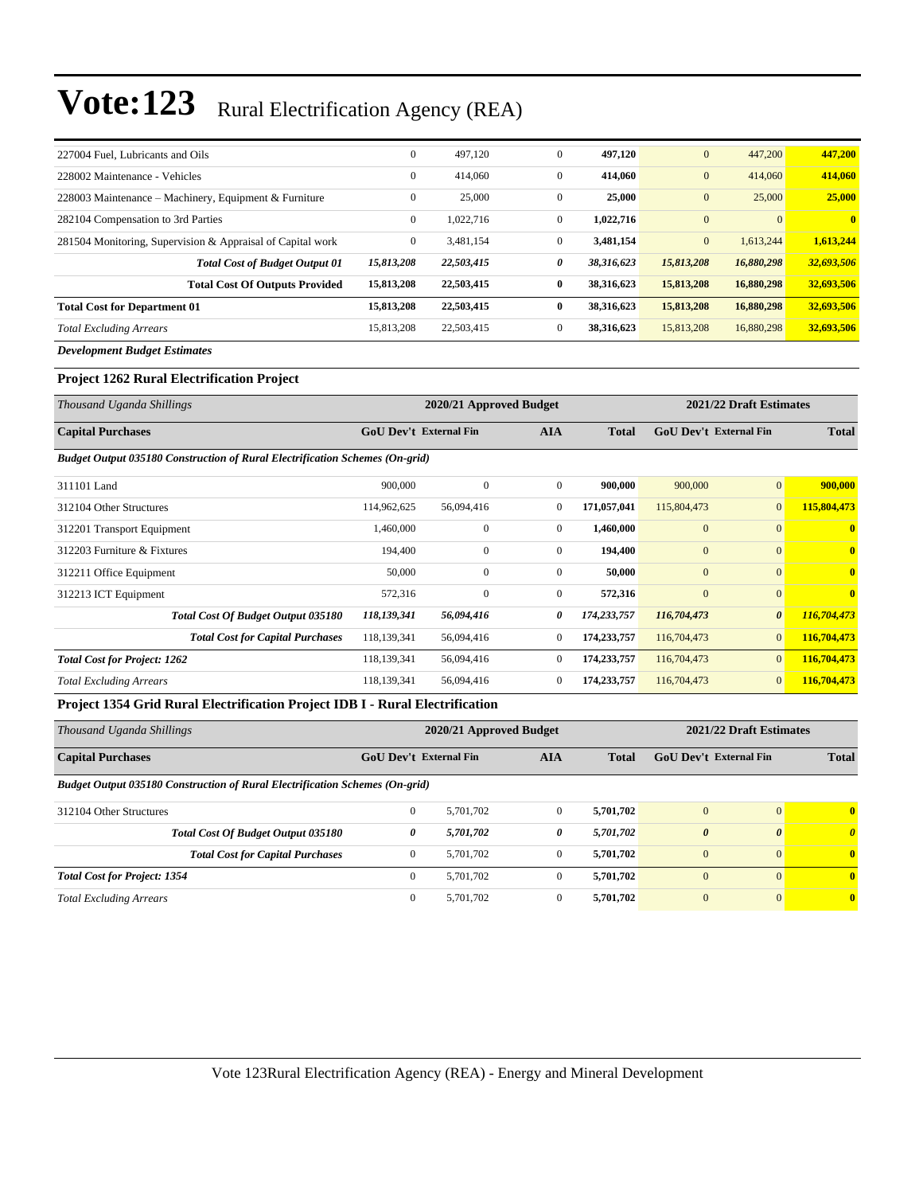| 227004 Fuel, Lubricants and Oils                           | $\mathbf{0}$   | 497,120    | $\mathbf{0}$ | 497,120    | $\boldsymbol{0}$ | 447,200    | 447,200      |
|------------------------------------------------------------|----------------|------------|--------------|------------|------------------|------------|--------------|
| 228002 Maintenance - Vehicles                              | $\mathbf{0}$   | 414,060    | $\mathbf{0}$ | 414,060    | $\boldsymbol{0}$ | 414,060    | 414,060      |
| 228003 Maintenance – Machinery, Equipment & Furniture      | $\mathbf{0}$   | 25,000     | $\mathbf{0}$ | 25,000     | $\mathbf{0}$     | 25,000     | 25,000       |
| 282104 Compensation to 3rd Parties                         | $\mathbf{0}$   | 1,022,716  | $\mathbf{0}$ | 1,022,716  | $\overline{0}$   |            | $\mathbf{0}$ |
| 281504 Monitoring, Supervision & Appraisal of Capital work | $\overline{0}$ | 3.481.154  | $\Omega$     | 3,481,154  | $\mathbf{0}$     | 1,613,244  | 1,613,244    |
| <b>Total Cost of Budget Output 01</b>                      | 15,813,208     | 22,503,415 | 0            | 38,316,623 | 15,813,208       | 16,880,298 | 32,693,506   |
| <b>Total Cost Of Outputs Provided</b>                      | 15,813,208     | 22,503,415 | $\bf{0}$     | 38,316,623 | 15,813,208       | 16,880,298 | 32,693,506   |
| <b>Total Cost for Department 01</b>                        | 15,813,208     | 22,503,415 | $\mathbf{0}$ | 38,316,623 | 15,813,208       | 16,880,298 | 32,693,506   |
| <b>Total Excluding Arrears</b>                             | 15,813,208     | 22,503,415 | $\mathbf{0}$ | 38,316,623 | 15,813,208       | 16,880,298 | 32,693,506   |
| _ _ _ _ _ _                                                |                |            |              |            |                  |            |              |

*Development Budget Estimates*

#### **Project 1262 Rural Electrification Project**

| Thousand Uganda Shillings                                                           |             | 2020/21 Approved Budget       |                | 2021/22 Draft Estimates |                               |                       |                         |
|-------------------------------------------------------------------------------------|-------------|-------------------------------|----------------|-------------------------|-------------------------------|-----------------------|-------------------------|
| <b>Capital Purchases</b>                                                            |             | <b>GoU Dev't External Fin</b> | <b>AIA</b>     | <b>Total</b>            | <b>GoU Dev't External Fin</b> |                       | <b>Total</b>            |
| <b>Budget Output 035180 Construction of Rural Electrification Schemes (On-grid)</b> |             |                               |                |                         |                               |                       |                         |
| 311101 Land                                                                         | 900,000     | $\mathbf{0}$                  | $\mathbf{0}$   | 900,000                 | 900,000                       | $\mathbf{0}$          | 900,000                 |
| 312104 Other Structures                                                             | 114,962,625 | 56,094,416                    | $\overline{0}$ | 171,057,041             | 115,804,473                   | $\mathbf{0}$          | 115,804,473             |
| 312201 Transport Equipment                                                          | 1,460,000   | $\mathbf{0}$                  | $\overline{0}$ | 1,460,000               | $\mathbf{0}$                  | $\mathbf{0}$          | $\mathbf{0}$            |
| 312203 Furniture & Fixtures                                                         | 194,400     | $\mathbf{0}$                  | $\overline{0}$ | 194,400                 | $\mathbf{0}$                  | $\mathbf{0}$          | $\mathbf{0}$            |
| 312211 Office Equipment                                                             | 50,000      | $\mathbf{0}$                  | $\overline{0}$ | 50,000                  | $\mathbf{0}$                  | $\mathbf{0}$          | $\overline{\mathbf{0}}$ |
| 312213 ICT Equipment                                                                | 572,316     | $\mathbf{0}$                  | $\mathbf{0}$   | 572,316                 | $\mathbf{0}$                  | $\overline{0}$        | $\overline{\mathbf{0}}$ |
| <b>Total Cost Of Budget Output 035180</b>                                           | 118,139,341 | 56,094,416                    | 0              | 174,233,757             | 116,704,473                   | $\boldsymbol{\theta}$ | 116,704,473             |
| <b>Total Cost for Capital Purchases</b>                                             | 118,139,341 | 56,094,416                    | $\bf{0}$       | 174,233,757             | 116,704,473                   | $\mathbf{0}$          | 116,704,473             |
| <b>Total Cost for Project: 1262</b>                                                 | 118,139,341 | 56,094,416                    | $\mathbf{0}$   | 174,233,757             | 116,704,473                   | $\mathbf{0}$          | 116,704,473             |
| <b>Total Excluding Arrears</b>                                                      | 118,139,341 | 56,094,416                    | $\overline{0}$ | 174,233,757             | 116,704,473                   | $\mathbf{0}$          | 116,704,473             |

#### **Project 1354 Grid Rural Electrification Project IDB I - Rural Electrification**

| Thousand Uganda Shillings                                                           |                                             | 2020/21 Approved Budget | 2021/22 Draft Estimates |              |                               |                       |              |
|-------------------------------------------------------------------------------------|---------------------------------------------|-------------------------|-------------------------|--------------|-------------------------------|-----------------------|--------------|
| <b>Capital Purchases</b>                                                            | <b>GoU Dev't External Fin</b><br><b>AIA</b> |                         |                         | <b>Total</b> | <b>GoU Dev't External Fin</b> |                       | <b>Total</b> |
| <b>Budget Output 035180 Construction of Rural Electrification Schemes (On-grid)</b> |                                             |                         |                         |              |                               |                       |              |
| 312104 Other Structures                                                             | $\mathbf{0}$                                | 5.701.702               | $\mathbf{0}$            | 5.701.702    | $\mathbf{0}$                  | $\mathbf{0}$          | $\mathbf{0}$ |
| Total Cost Of Budget Output 035180                                                  | 0                                           | 5,701,702               | 0                       | 5,701,702    | $\boldsymbol{\theta}$         | $\boldsymbol{\theta}$ | $\theta$     |
| <b>Total Cost for Capital Purchases</b>                                             | $\mathbf{0}$                                | 5.701.702               | $\mathbf{0}$            | 5.701.702    | $\overline{0}$                | $\Omega$              | $\mathbf{0}$ |
| <b>Total Cost for Project: 1354</b>                                                 | $\Omega$                                    | 5.701.702               | $\Omega$                | 5.701.702    | $\overline{0}$                | $\Omega$              | $\mathbf{0}$ |
| <b>Total Excluding Arrears</b>                                                      | $\mathbf{0}$                                | 5.701.702               | $\mathbf{0}$            | 5.701.702    | $\overline{0}$                | $\overline{0}$        | $\mathbf{0}$ |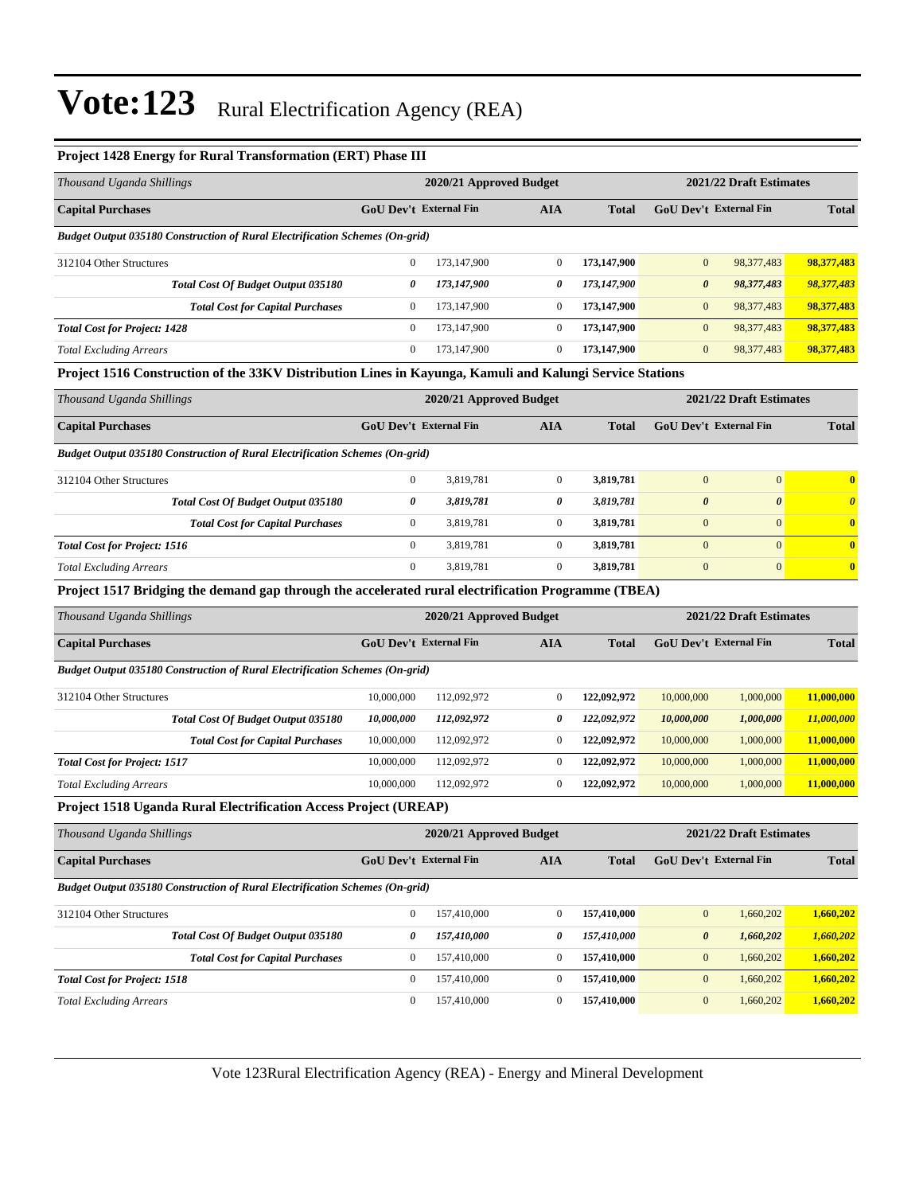#### **Project 1428 Energy for Rural Transformation (ERT) Phase III**

| Thousand Uganda Shillings                                                                                | 2020/21 Approved Budget              |                         |                  |              |                         | 2021/22 Draft Estimates |                       |  |
|----------------------------------------------------------------------------------------------------------|--------------------------------------|-------------------------|------------------|--------------|-------------------------|-------------------------|-----------------------|--|
| <b>Capital Purchases</b>                                                                                 | GoU Dev't External Fin               |                         | <b>AIA</b>       | <b>Total</b> |                         | GoU Dev't External Fin  | <b>Total</b>          |  |
| Budget Output 035180 Construction of Rural Electrification Schemes (On-grid)                             |                                      |                         |                  |              |                         |                         |                       |  |
| 312104 Other Structures                                                                                  | $\boldsymbol{0}$                     | 173,147,900             | $\boldsymbol{0}$ | 173,147,900  | $\boldsymbol{0}$        | 98,377,483              | 98,377,483            |  |
| Total Cost Of Budget Output 035180                                                                       | 0                                    | 173,147,900             | 0                | 173,147,900  | $\boldsymbol{\theta}$   | 98,377,483              | 98,377,483            |  |
| <b>Total Cost for Capital Purchases</b>                                                                  | $\boldsymbol{0}$                     | 173,147,900             | $\boldsymbol{0}$ | 173,147,900  | $\mathbf{0}$            | 98, 377, 483            | 98,377,483            |  |
| <b>Total Cost for Project: 1428</b>                                                                      | $\boldsymbol{0}$                     | 173,147,900             | $\boldsymbol{0}$ | 173,147,900  | $\mathbf{0}$            | 98,377,483              | 98,377,483            |  |
| <b>Total Excluding Arrears</b>                                                                           | $\boldsymbol{0}$                     | 173,147,900             | $\boldsymbol{0}$ | 173,147,900  | $\boldsymbol{0}$        | 98,377,483              | 98,377,483            |  |
| Project 1516 Construction of the 33KV Distribution Lines in Kayunga, Kamuli and Kalungi Service Stations |                                      |                         |                  |              |                         |                         |                       |  |
| Thousand Uganda Shillings                                                                                |                                      | 2020/21 Approved Budget |                  |              |                         | 2021/22 Draft Estimates |                       |  |
| <b>Capital Purchases</b>                                                                                 | GoU Dev't External Fin               |                         | <b>AIA</b>       | <b>Total</b> |                         | GoU Dev't External Fin  | <b>Total</b>          |  |
| Budget Output 035180 Construction of Rural Electrification Schemes (On-grid)                             |                                      |                         |                  |              |                         |                         |                       |  |
| 312104 Other Structures                                                                                  | $\boldsymbol{0}$                     | 3,819,781               | $\boldsymbol{0}$ | 3,819,781    | $\boldsymbol{0}$        | $\boldsymbol{0}$        | $\bf{0}$              |  |
| Total Cost Of Budget Output 035180                                                                       | 0                                    | 3,819,781               | 0                | 3,819,781    | $\boldsymbol{\theta}$   | $\boldsymbol{\theta}$   | $\boldsymbol{\theta}$ |  |
| <b>Total Cost for Capital Purchases</b>                                                                  | $\mathbf{0}$                         | 3,819,781               | $\boldsymbol{0}$ | 3,819,781    | $\boldsymbol{0}$        | $\mathbf{0}$            | $\bf{0}$              |  |
| <b>Total Cost for Project: 1516</b>                                                                      | $\mathbf{0}$                         | 3,819,781               | $\boldsymbol{0}$ | 3,819,781    | $\mathbf{0}$            | $\mathbf{0}$            | $\bf{0}$              |  |
| <b>Total Excluding Arrears</b>                                                                           | $\boldsymbol{0}$                     | 3,819,781               | $\boldsymbol{0}$ | 3,819,781    | $\boldsymbol{0}$        | $\boldsymbol{0}$        | $\bf{0}$              |  |
| Project 1517 Bridging the demand gap through the accelerated rural electrification Programme (TBEA)      |                                      |                         |                  |              |                         |                         |                       |  |
| Thousand Uganda Shillings                                                                                |                                      | 2020/21 Approved Budget |                  |              | 2021/22 Draft Estimates |                         |                       |  |
| <b>Capital Purchases</b>                                                                                 | <b>GoU Dev't External Fin</b>        |                         | <b>AIA</b>       | <b>Total</b> |                         | GoU Dev't External Fin  | <b>Total</b>          |  |
| <b>Budget Output 035180 Construction of Rural Electrification Schemes (On-grid)</b>                      |                                      |                         |                  |              |                         |                         |                       |  |
| 312104 Other Structures                                                                                  | 10,000,000                           | 112,092,972             | $\boldsymbol{0}$ | 122,092,972  | 10,000,000              | 1,000,000               | 11,000,000            |  |
| Total Cost Of Budget Output 035180                                                                       | 10,000,000                           | 112,092,972             | 0                | 122,092,972  | 10,000,000              | 1,000,000               | 11,000,000            |  |
| <b>Total Cost for Capital Purchases</b>                                                                  | 10,000,000                           | 112,092,972             | $\boldsymbol{0}$ | 122,092,972  | 10,000,000              | 1,000,000               | 11,000,000            |  |
| <b>Total Cost for Project: 1517</b>                                                                      | 10,000,000                           | 112,092,972             | $\boldsymbol{0}$ | 122,092,972  | 10,000,000              | 1,000,000               | 11,000,000            |  |
| <b>Total Excluding Arrears</b>                                                                           | 10,000,000                           | 112,092,972             | $\boldsymbol{0}$ | 122,092,972  | 10,000,000              | 1,000,000               | 11,000,000            |  |
| Project 1518 Uganda Rural Electrification Access Project (UREAP)                                         |                                      |                         |                  |              |                         |                         |                       |  |
| Thousand Uganda Shillings                                                                                |                                      | 2020/21 Approved Budget |                  |              |                         | 2021/22 Draft Estimates |                       |  |
|                                                                                                          | GoU Dev't External Fin<br><b>AIA</b> |                         | <b>Total</b>     |              | GoU Dev't External Fin  | <b>Total</b>            |                       |  |
| <b>Capital Purchases</b>                                                                                 |                                      |                         |                  |              |                         |                         |                       |  |
| <b>Budget Output 035180 Construction of Rural Electrification Schemes (On-grid)</b>                      |                                      |                         |                  |              |                         |                         |                       |  |
| 312104 Other Structures                                                                                  | $\boldsymbol{0}$                     | 157,410,000             | $\boldsymbol{0}$ | 157,410,000  | $\boldsymbol{0}$        | 1,660,202               | 1,660,202             |  |
| Total Cost Of Budget Output 035180                                                                       | 0                                    | 157,410,000             | 0                | 157,410,000  | $\pmb{\theta}$          | 1,660,202               | 1,660,202             |  |
| <b>Total Cost for Capital Purchases</b>                                                                  | $\boldsymbol{0}$                     | 157,410,000             | $\boldsymbol{0}$ | 157,410,000  | $\boldsymbol{0}$        | 1,660,202               | 1,660,202             |  |
| <b>Total Cost for Project: 1518</b>                                                                      | $\boldsymbol{0}$                     | 157,410,000             | $\boldsymbol{0}$ | 157,410,000  | $\boldsymbol{0}$        | 1,660,202               | 1,660,202             |  |

Vote 123Rural Electrification Agency (REA) - Energy and Mineral Development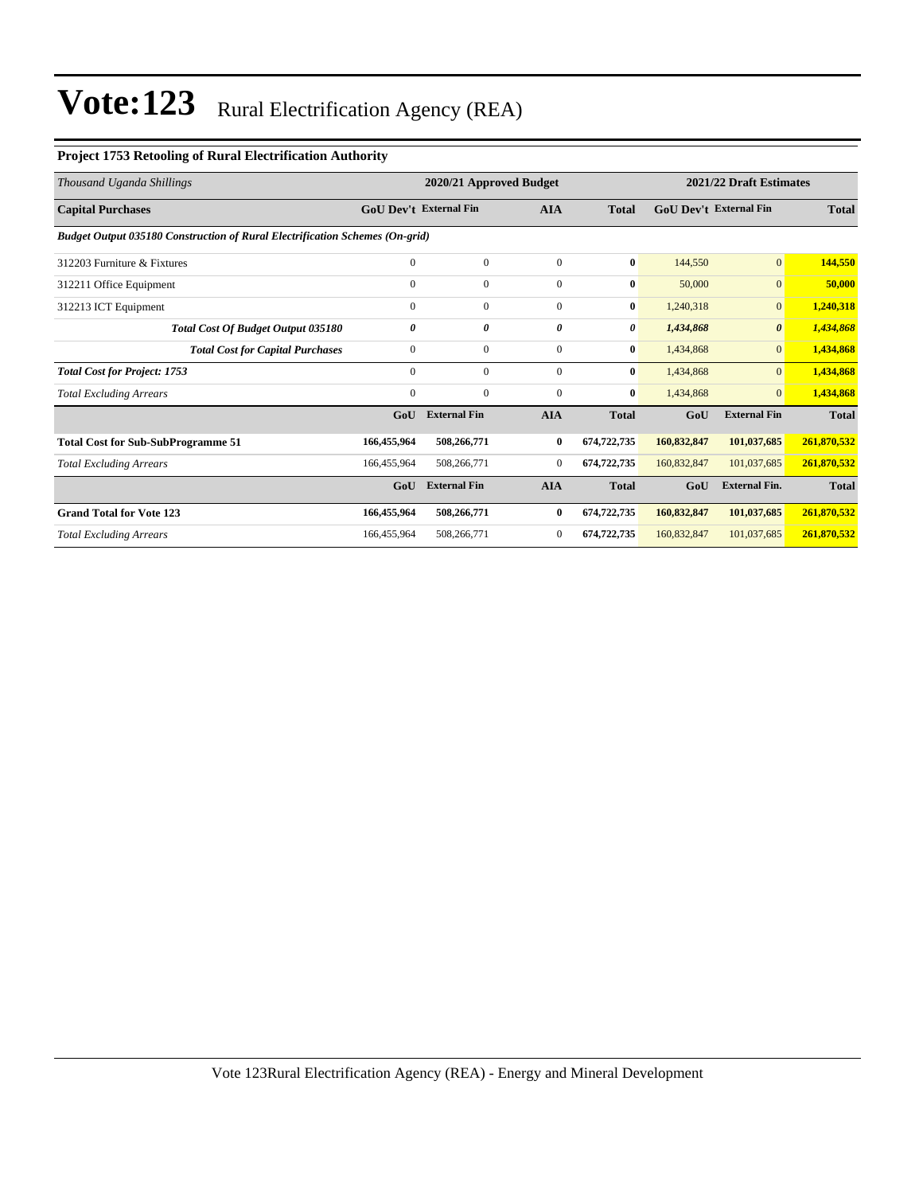### **Project 1753 Retooling of Rural Electrification Authority**

| Thousand Uganda Shillings                                                           |                               | 2020/21 Approved Budget |              |              | 2021/22 Draft Estimates |                               |              |
|-------------------------------------------------------------------------------------|-------------------------------|-------------------------|--------------|--------------|-------------------------|-------------------------------|--------------|
| <b>Capital Purchases</b>                                                            | <b>GoU</b> Dev't External Fin |                         | <b>AIA</b>   | <b>Total</b> |                         | <b>GoU</b> Dev't External Fin |              |
| <b>Budget Output 035180 Construction of Rural Electrification Schemes (On-grid)</b> |                               |                         |              |              |                         |                               |              |
| 312203 Furniture & Fixtures                                                         | $\mathbf{0}$                  | $\overline{0}$          | $\theta$     | $\bf{0}$     | 144,550                 | $\overline{0}$                | 144,550      |
| 312211 Office Equipment                                                             | $\mathbf{0}$                  | $\mathbf{0}$            | $\mathbf{0}$ | $\bf{0}$     | 50,000                  | $\overline{0}$                | 50,000       |
| 312213 ICT Equipment                                                                | $\Omega$                      | $\mathbf{0}$            | $\mathbf{0}$ | $\bf{0}$     | 1,240,318               | $\overline{0}$                | 1,240,318    |
| Total Cost Of Budget Output 035180                                                  | 0                             | 0                       | 0            | 0            | 1,434,868               | $\boldsymbol{\theta}$         | 1,434,868    |
| <b>Total Cost for Capital Purchases</b>                                             | $\mathbf{0}$                  | $\mathbf{0}$            | $\mathbf{0}$ | $\bf{0}$     | 1,434,868               | $\overline{0}$                | 1,434,868    |
| <b>Total Cost for Project: 1753</b>                                                 | $\mathbf{0}$                  | $\mathbf{0}$            | $\mathbf{0}$ | $\bf{0}$     | 1,434,868               | $\overline{0}$                | 1,434,868    |
| <b>Total Excluding Arrears</b>                                                      | $\mathbf{0}$                  | $\mathbf{0}$            | $\mathbf{0}$ | $\bf{0}$     | 1,434,868               | $\overline{0}$                | 1,434,868    |
|                                                                                     | GoU                           | <b>External Fin</b>     | <b>AIA</b>   | <b>Total</b> | GoU                     | <b>External Fin</b>           | <b>Total</b> |
| <b>Total Cost for Sub-SubProgramme 51</b>                                           | 166,455,964                   | 508,266,771             | 0            | 674,722,735  | 160,832,847             | 101,037,685                   | 261,870,532  |
| <b>Total Excluding Arrears</b>                                                      | 166,455,964                   | 508,266,771             | $\mathbf{0}$ | 674,722,735  | 160,832,847             | 101,037,685                   | 261,870,532  |
|                                                                                     | GoU                           | <b>External Fin</b>     | <b>AIA</b>   | <b>Total</b> | GoU                     | <b>External Fin.</b>          | <b>Total</b> |
| <b>Grand Total for Vote 123</b>                                                     | 166,455,964                   | 508,266,771             | $\bf{0}$     | 674,722,735  | 160,832,847             | 101,037,685                   | 261,870,532  |
| <b>Total Excluding Arrears</b>                                                      | 166,455,964                   | 508,266,771             | $\mathbf{0}$ | 674,722,735  | 160,832,847             | 101,037,685                   | 261,870,532  |